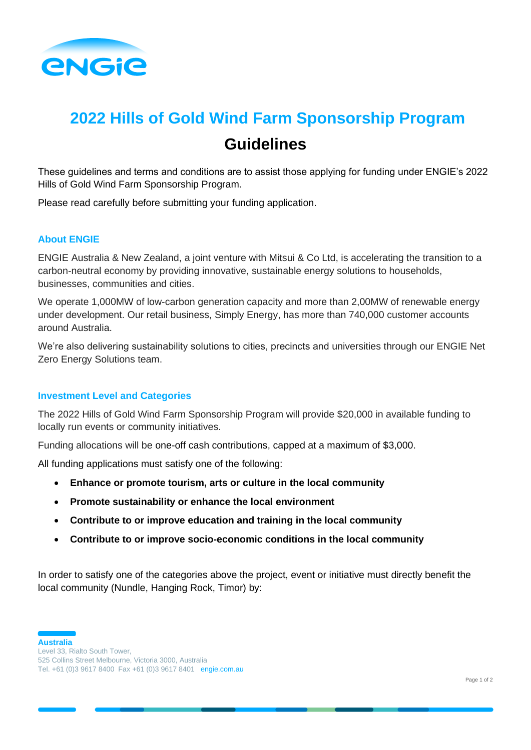

# **2022 Hills of Gold Wind Farm Sponsorship Program Guidelines**

These guidelines and terms and conditions are to assist those applying for funding under ENGIE's 2022 Hills of Gold Wind Farm Sponsorship Program.

Please read carefully before submitting your funding application.

# **About ENGIE**

ENGIE Australia & New Zealand, a joint venture with Mitsui & Co Ltd, is accelerating the transition to a carbon-neutral economy by providing innovative, sustainable energy solutions to households, businesses, communities and cities.

We operate 1,000MW of low-carbon generation capacity and more than 2,00MW of renewable energy under development. Our retail business, Simply Energy, has more than 740,000 customer accounts around Australia.

We're also delivering sustainability solutions to cities, precincts and universities through our ENGIE Net Zero Energy Solutions team.

# **Investment Level and Categories**

The 2022 Hills of Gold Wind Farm Sponsorship Program will provide \$20,000 in available funding to locally run events or community initiatives.

Funding allocations will be one-off cash contributions, capped at a maximum of \$3,000.

All funding applications must satisfy one of the following:

- **Enhance or promote tourism, arts or culture in the local community**
- **Promote sustainability or enhance the local environment**
- **Contribute to or improve education and training in the local community**
- **Contribute to or improve socio-economic conditions in the local community**

In order to satisfy one of the categories above the project, event or initiative must directly benefit the local community (Nundle, Hanging Rock, Timor) by:

**Australia**